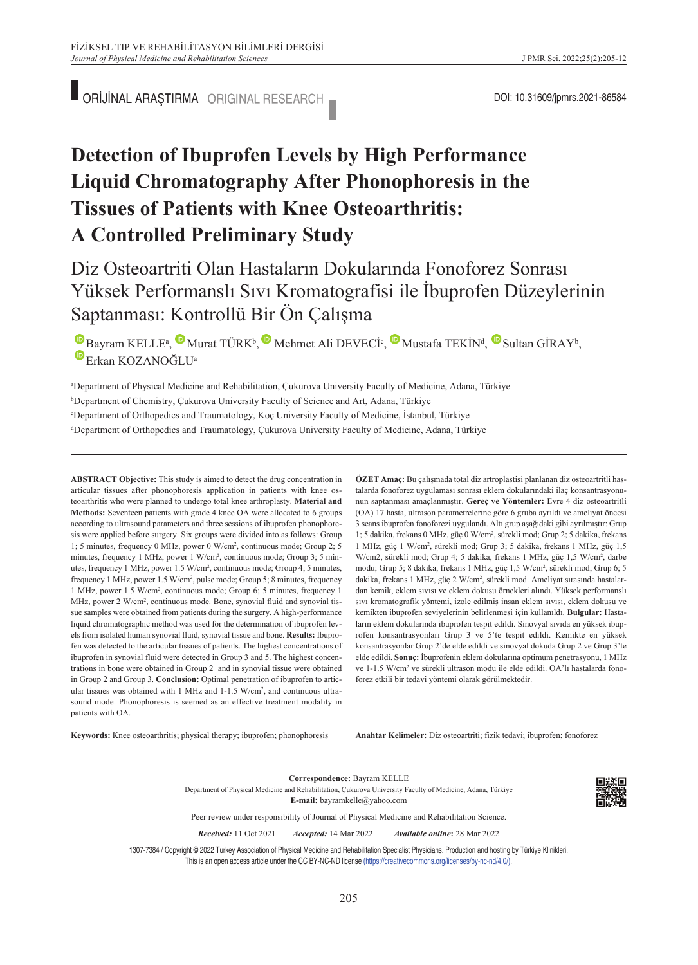ORİJİNAL ARAŞTIRMA ORIGINAL RESEARCH **DOLLA ARAŞTIRMA ORIGINAL RESEARCH** 

# **Detection of Ibuprofen Levels by High Performance Liquid Chromatography After Phonophoresis in the Tissues of Patients with Knee Osteoarthritis: A Controlled Preliminary Study**

## Diz Osteoartriti Olan Hastaların Dokularında Fonoforez Sonrası Yüksek Performanslı Sıvı Kromatografisi ile İbuprofen Düzeylerinin Saptanması: Kontrollü Bir Ön Çalışma

BayramKELLE<sup>a</sup>[,](https://orcid.org/0000-0002-3670-3985) Murat TÜRK<sup>b</sup>, Mehmet Ali DEVECI<sup>c</sup>, Mustafa TEKİN<sup>d</sup>, Mustafa GİRAY<sup>b</sup>, Erkan KOZANOĞLUa

a Department of Physical Medicine and Rehabilitation, Çukurova University Faculty of Medicine, Adana, Türkiye b Department of Chemistry, Çukurova University Faculty of Science and Art, Adana, Türkiye c Department of Orthopedics and Traumatology, Koç University Faculty of Medicine, İstanbul, Türkiye d Department of Orthopedics and Traumatology, Çukurova University Faculty of Medicine, Adana, Türkiye

**ABS TRACT Objective:** This study is aimed to detect the drug concentration in articular tissues after phonophoresis application in patients with knee osteoarthritis who were planned to undergo total knee arthroplasty. **Material and Methods:** Seventeen patients with grade 4 knee OA were allocated to 6 groups according to ultrasound parameters and three sessions of ibuprofen phonophoresis were applied before surgery. Six groups were divided into as follows: Group 1; 5 minutes, frequency 0 MHz, power 0 W/cm2 , continuous mode; Group 2; 5 minutes, frequency 1 MHz, power 1 W/cm<sup>2</sup>, continuous mode; Group 3; 5 minutes, frequency 1 MHz, power 1.5 W/cm2 , continuous mode; Group 4; 5 minutes, frequency 1 MHz, power 1.5 W/cm<sup>2</sup>, pulse mode; Group 5; 8 minutes, frequency 1 MHz, power 1.5 W/cm2 , continuous mode; Group 6; 5 minutes, frequency 1 MHz, power 2 W/cm<sup>2</sup>, continuous mode. Bone, synovial fluid and synovial tissue samples were obtained from patients during the surgery. A high-performance liquid chromatographic method was used for the determination of ibuprofen levels from isolated human synovial fluid, synovial tissue and bone. **Results:** Ibuprofen was detected to the articular tissues of patients. The highest concentrations of ibuprofen in synovial fluid were detected in Group 3 and 5. The highest concentrations in bone were obtained in Group 2 and in synovial tissue were obtained in Group 2 and Group 3. **Conclusion:** Optimal penetration of ibuprofen to articular tissues was obtained with 1 MHz and 1-1.5 W/cm2 , and continuous ultrasound mode. Phonophoresis is seemed as an effective treatment modality in patients with OA.

**ÖZET Amaç:** Bu çalışmada total diz artroplastisi planlanan diz osteoartritli hastalarda fonoforez uygulaması sonrası eklem dokularındaki ilaç konsantrasyonunun saptanması amaçlanmıştır. **Gereç ve Yöntemler:** Evre 4 diz osteoartritli (OA) 17 hasta, ultrason parametrelerine göre 6 gruba ayrıldı ve ameliyat öncesi 3 seans ibuprofen fonoforezi uygulandı. Altı grup aşağıdaki gibi ayrılmıştır: Grup 1; 5 dakika, frekans 0 MHz, güç 0 W/cm2 , sürekli mod; Grup 2; 5 dakika, frekans 1 MHz, güç 1 W/cm2 , sürekli mod; Grup 3; 5 dakika, frekans 1 MHz, güç 1,5 W/cm2, sürekli mod; Grup 4; 5 dakika, frekans 1 MHz, güç 1,5 W/cm2 , darbe modu; Grup 5; 8 dakika, frekans 1 MHz, güç 1,5 W/cm<sup>2</sup>, sürekli mod; Grup 6; 5 dakika, frekans 1 MHz, güç 2 W/cm2 , sürekli mod. Ameliyat sırasında hastalardan kemik, eklem sıvısı ve eklem dokusu örnekleri alındı. Yüksek performanslı sıvı kromatografik yöntemi, izole edilmiş insan eklem sıvısı, eklem dokusu ve kemikten ibuprofen seviyelerinin belirlenmesi için kullanıldı. **Bulgular:** Hastaların eklem dokularında ibuprofen tespit edildi. Sinovyal sıvıda en yüksek ibuprofen konsantrasyonları Grup 3 ve 5'te tespit edildi. Kemikte en yüksek konsantrasyonlar Grup 2'de elde edildi ve sinovyal dokuda Grup 2 ve Grup 3'te elde edildi. **Sonuç:** İbuprofenin eklem dokularına optimum penetrasyonu, 1 MHz ve 1-1.5 W/cm<sup>2</sup> ve sürekli ultrason modu ile elde edildi. OA'lı hastalarda fonoforez etkili bir tedavi yöntemi olarak görülmektedir.

**Keywords:** Knee osteoarthritis; physical therapy; ibuprofen; phonophoresis

Anahtar Kelimeler: Diz osteoartriti; fizik tedavi; ibuprofen; fonoforez

**Correspondence:** Bayram KELLE Department of Physical Medicine and Rehabilitation, Çukurova University Faculty of Medicine, Adana, Türkiye **E-mail:** bayramkelle@yahoo.com

Peer review under responsibility of Journal of Physical Medicine and Rehabilitation Science.

*Re ce i ved:* 11 Oct 2021 *Ac cep ted:* 14 Mar 2022 *Available online***:** 28 Mar 2022

1307-7384 / Copyright © 2022 Turkey Association of Physical Medicine and Rehabilitation Specialist Physicians. Production and hosting by Türkiye Klinikleri. This is an open access article under the CC BY-NC-ND license [\(https://creativecommons.org/licenses/by-nc-nd/4.0/\)](https://creativecommons.org/licenses/by-nc-nd/4.0/).

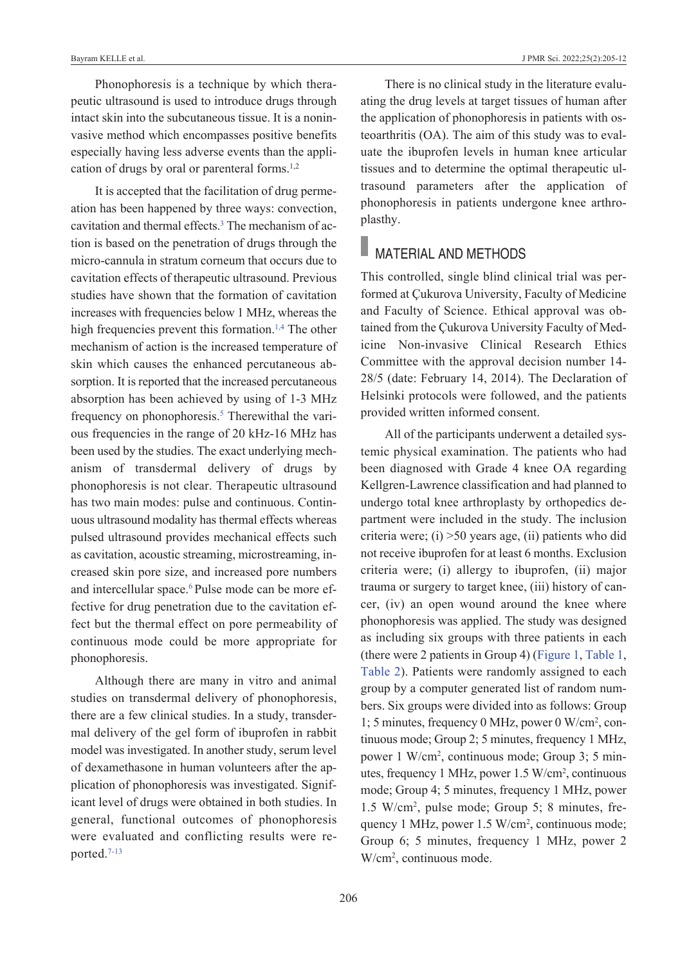Phonophoresis is a technique by which therapeutic ultrasound is used to introduce drugs through intact skin into the subcutaneous tissue. It is a noninvasive method which encompasses positive benefits especially having less adverse events than the application of drugs by oral or parenteral forms. $1,2$ 

It is accepted that the facilitation of drug permeation has been happened by three ways: convection, cavitation and thermal effects[.3](#page-7-0) The mechanism of action is based on the penetration of drugs through the micro-cannula in stratum corneum that occurs due to cavitation effects of therapeutic ultrasound. Previous studies have shown that the formation of cavitation increases with frequencies below 1 MHz, whereas the high frequencies prevent this formation.<sup>1,4</sup> The other mechanism of action is the increased temperature of skin which causes the enhanced percutaneous absorption. It is reported that the increased percutaneous absorption has been achieved by using of 1-3 MHz frequency on phonophoresis.<sup>5</sup> Therewithal the various frequencies in the range of 20 kHz-16 MHz has been used by the studies. The exact underlying mechanism of transdermal delivery of drugs by phonophoresis is not clear. Therapeutic ultrasound has two main modes: pulse and continuous. Continuous ultrasound modality has thermal effects whereas pulsed ultrasound provides mechanical effects such as cavitation, acoustic streaming, microstreaming, increased skin pore size, and increased pore numbers and intercellular space.<sup>6</sup> Pulse mode can be more effective for drug penetration due to the cavitation effect but the thermal effect on pore permeability of continuous mode could be more appropriate for phonophoresis.

Although there are many in vitro and animal studies on transdermal delivery of phonophoresis, there are a few clinical studies. In a study, transdermal delivery of the gel form of ibuprofen in rabbit model was investigated. In another study, serum level of dexamethasone in human volunteers after the application of phonophoresis was investigated. Significant level of drugs were obtained in both studies. In general, functional outcomes of phonophoresis were evaluated and conflicting results were reported[.7-13](#page-7-0)

There is no clinical study in the literature evaluating the drug levels at target tissues of human after the application of phonophoresis in patients with osteoarthritis (OA). The aim of this study was to evaluate the ibuprofen levels in human knee articular tissues and to determine the optimal therapeutic ultrasound parameters after the application of phonophoresis in patients undergone knee arthroplasthy.

# **MATERIAL AND METHODS**

This controlled, single blind clinical trial was performed at Çukurova University, Faculty of Medicine and Faculty of Science. Ethical approval was obtained from the Çukurova University Faculty of Medicine Non-invasive Clinical Research Ethics Committee with the approval decision number 14- 28/5 (date: February 14, 2014). The Declaration of Helsinki protocols were followed, and the patients provided written informed consent.

All of the participants underwent a detailed systemic physical examination. The patients who had been diagnosed with Grade 4 knee OA regarding Kellgren-Lawrence classification and had planned to undergo total knee arthroplasty by orthopedics department were included in the study. The inclusion criteria were; (i) >50 years age, (ii) patients who did not receive ibuprofen for at least 6 months. Exclusion criteria were; (i) allergy to ibuprofen, (ii) major trauma or surgery to target knee, (iii) history of cancer, (iv) an open wound around the knee where phonophoresis was applied. The study was designed as including six groups with three patients in each (there were 2 patients in Group 4) [\(Figure 1,](#page-2-0) [Table 1,](#page-3-0) [Table 2\)](#page-3-1). Patients were randomly assigned to each group by a computer generated list of random numbers. Six groups were divided into as follows: Group 1; 5 minutes, frequency 0 MHz, power 0 W/cm2 , continuous mode; Group 2; 5 minutes, frequency 1 MHz, power 1 W/cm2 , continuous mode; Group 3; 5 minutes, frequency 1 MHz, power 1.5 W/cm2 , continuous mode; Group 4; 5 minutes, frequency 1 MHz, power 1.5 W/cm2 , pulse mode; Group 5; 8 minutes, frequency 1 MHz, power 1.5 W/cm2 , continuous mode; Group 6; 5 minutes, frequency 1 MHz, power 2 W/cm2 , continuous mode.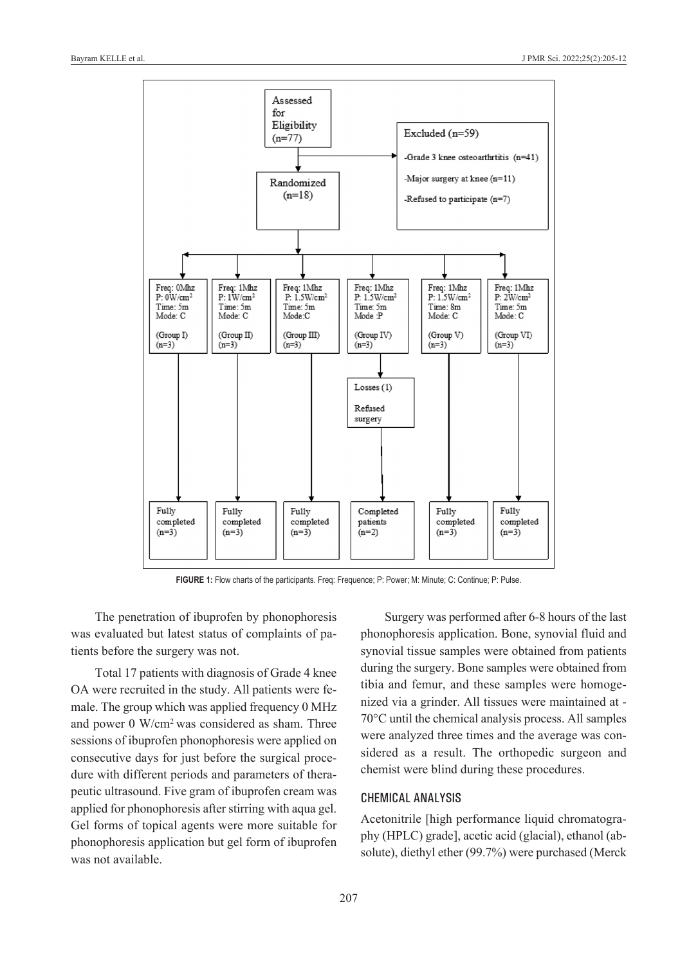

**FIGURE 1:** Flow charts of the participants. Freq: Frequence; P: Power; M: Minute; C: Continue; P: Pulse.

The penetration of ibuprofen by phonophoresis was evaluated but latest status of complaints of patients before the surgery was not.

Total 17 patients with diagnosis of Grade 4 knee OA were recruited in the study. All patients were female. The group which was applied frequency 0 MHz and power 0 W/cm2 was considered as sham. Three sessions of ibuprofen phonophoresis were applied on consecutive days for just before the surgical procedure with different periods and parameters of therapeutic ultrasound. Five gram of ibuprofen cream was applied for phonophoresis after stirring with aqua gel. Gel forms of topical agents were more suitable for phonophoresis application but gel form of ibuprofen was not available.

<span id="page-2-0"></span>Surgery was performed after 6-8 hours of the last phonophoresis application. Bone, synovial fluid and synovial tissue samples were obtained from patients during the surgery. Bone samples were obtained from tibia and femur, and these samples were homogenized via a grinder. All tissues were maintained at - 70°C until the chemical analysis process. All samples were analyzed three times and the average was considered as a result. The orthopedic surgeon and chemist were blind during these procedures.

## ChemiCal analysis

Acetonitrile [high performance liquid chromatography (HPLC) grade], acetic acid (glacial), ethanol (absolute), diethyl ether (99.7%) were purchased (Merck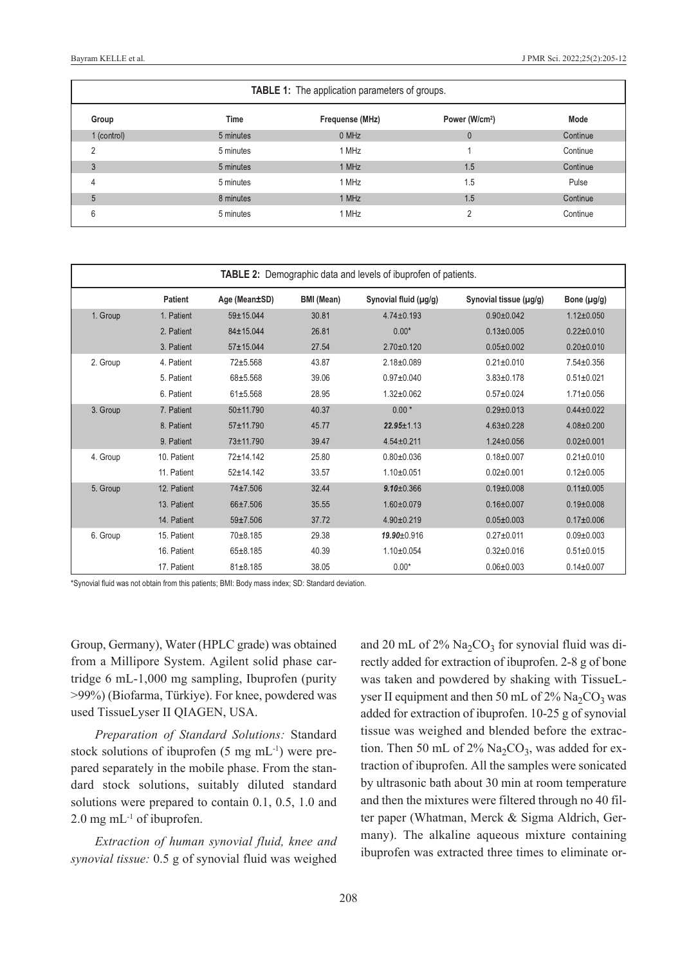| <b>TABLE 1:</b> The application parameters of groups. |             |                 |                            |          |  |  |  |
|-------------------------------------------------------|-------------|-----------------|----------------------------|----------|--|--|--|
| Group                                                 | <b>Time</b> | Frequense (MHz) | Power (W/cm <sup>2</sup> ) | Mode     |  |  |  |
| 1 (control)                                           | 5 minutes   | 0 MHz           | $\theta$                   | Continue |  |  |  |
| ◠                                                     | 5 minutes   | 1 MHz           |                            | Continue |  |  |  |
| 3                                                     | 5 minutes   | 1 MHz           | 1.5                        | Continue |  |  |  |
| 4                                                     | 5 minutes   | 1 MHz           | 1.5                        | Pulse    |  |  |  |
| 5                                                     | 8 minutes   | 1 MHz           | 1.5                        | Continue |  |  |  |
| 6                                                     | 5 minutes   | 1 MHz           | 2                          | Continue |  |  |  |

| <b>TABLE 2:</b> Demographic data and levels of ibuprofen of patients. |             |               |                   |                       |                        |                  |  |  |
|-----------------------------------------------------------------------|-------------|---------------|-------------------|-----------------------|------------------------|------------------|--|--|
|                                                                       | Patient     | Age (Mean±SD) | <b>BMI</b> (Mean) | Synovial fluid (µg/g) | Synovial tissue (µg/g) | Bone $(\mu g/g)$ |  |  |
| 1. Group                                                              | 1. Patient  | 59±15.044     | 30.81             | $4.74 \pm 0.193$      | $0.90 \pm 0.042$       | $1.12 \pm 0.050$ |  |  |
|                                                                       | 2. Patient  | 84±15.044     | 26.81             | $0.00*$               | $0.13 \pm 0.005$       | $0.22 \pm 0.010$ |  |  |
|                                                                       | 3. Patient  | 57±15.044     | 27.54             | $2.70 \pm 0.120$      | $0.05 \pm 0.002$       | $0.20 \pm 0.010$ |  |  |
| 2. Group                                                              | 4. Patient  | $72 + 5.568$  | 43.87             | $2.18 \pm 0.089$      | $0.21 \pm 0.010$       | $7.54 \pm 0.356$ |  |  |
|                                                                       | 5. Patient  | $68 + 5.568$  | 39.06             | $0.97+0.040$          | $3.83 \pm 0.178$       | $0.51 \pm 0.021$ |  |  |
|                                                                       | 6. Patient  | $61 + 5.568$  | 28.95             | $1.32 + 0.062$        | $0.57+0.024$           | $1.71 \pm 0.056$ |  |  |
| 3. Group                                                              | 7. Patient  | 50±11.790     | 40.37             | $0.00*$               | $0.29 \pm 0.013$       | $0.44 \pm 0.022$ |  |  |
|                                                                       | 8. Patient  | 57±11.790     | 45.77             | 22.95±1.13            | $4.63 \pm 0.228$       | $4.08 \pm 0.200$ |  |  |
|                                                                       | 9. Patient  | 73±11.790     | 39.47             | $4.54 \pm 0.211$      | $1.24 \pm 0.056$       | $0.02 \pm 0.001$ |  |  |
| 4. Group                                                              | 10. Patient | 72±14.142     | 25.80             | $0.80 + 0.036$        | $0.18 + 0.007$         | $0.21 \pm 0.010$ |  |  |
|                                                                       | 11. Patient | $52 + 14.142$ | 33.57             | $1.10 \pm 0.051$      | $0.02 \pm 0.001$       | $0.12 \pm 0.005$ |  |  |
| 5. Group                                                              | 12. Patient | 74±7.506      | 32.44             | $9.10 \pm 0.366$      | $0.19 \pm 0.008$       | $0.11 \pm 0.005$ |  |  |
|                                                                       | 13. Patient | 66±7.506      | 35.55             | $1.60 \pm 0.079$      | $0.16 \pm 0.007$       | $0.19 \pm 0.008$ |  |  |
|                                                                       | 14. Patient | 59±7.506      | 37.72             | $4.90 \pm 0.219$      | $0.05 \pm 0.003$       | $0.17 \pm 0.006$ |  |  |
| 6. Group                                                              | 15. Patient | 70±8.185      | 29.38             | $19.90 \pm 0.916$     | $0.27+0.011$           | $0.09 + 0.003$   |  |  |
|                                                                       | 16. Patient | $65 + 8.185$  | 40.39             | $1.10 \pm 0.054$      | $0.32 \pm 0.016$       | $0.51 \pm 0.015$ |  |  |
|                                                                       | 17. Patient | $81 + 8.185$  | 38.05             | $0.00*$               | $0.06 \pm 0.003$       | $0.14 \pm 0.007$ |  |  |

\*Synovial fluid was not obtain from this patients; BMI: Body mass index; SD: Standard deviation.

Group, Germany), Water (HPLC grade) was obtained from a Millipore System. Agilent solid phase cartridge 6 mL-1,000 mg sampling, Ibuprofen (purity >99%) (Biofarma, Türkiye). For knee, powdered was used TissueLyser II QIAGEN, USA.

*Preparation of Standard Solutions:* Standard stock solutions of ibuprofen (5 mg mL-1) were prepared separately in the mobile phase. From the standard stock solutions, suitably diluted standard solutions were prepared to contain 0.1, 0.5, 1.0 and  $2.0$  mg mL<sup>-1</sup> of ibuprofen.

*Extraction of human synovial fluid, knee and synovial tissue:* 0.5 g of synovial fluid was weighed <span id="page-3-1"></span><span id="page-3-0"></span>and 20 mL of 2%  $\text{Na}_2\text{CO}_3$  for synovial fluid was directly added for extraction of ibuprofen. 2-8 g of bone was taken and powdered by shaking with TissueLyser II equipment and then 50 mL of  $2\%$  Na<sub>2</sub>CO<sub>3</sub> was added for extraction of ibuprofen. 10-25 g of synovial tissue was weighed and blended before the extraction. Then 50 mL of  $2\%$  Na<sub>2</sub>CO<sub>3</sub>, was added for extraction of ibuprofen. All the samples were sonicated by ultrasonic bath about 30 min at room temperature and then the mixtures were filtered through no 40 filter paper (Whatman, Merck & Sigma Aldrich, Germany). The alkaline aqueous mixture containing ibuprofen was extracted three times to eliminate or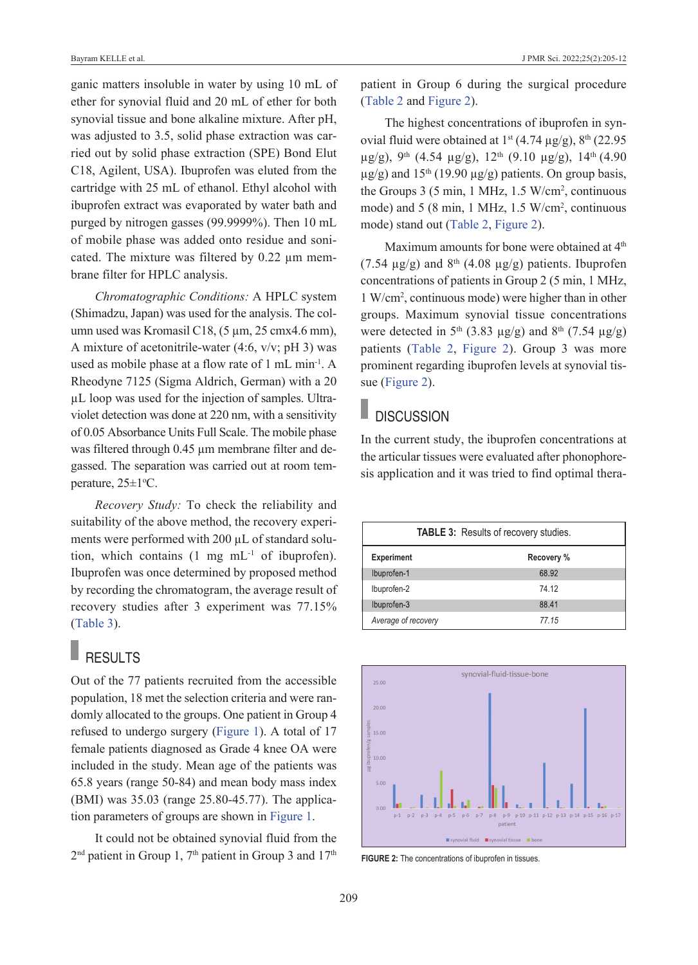ganic matters insoluble in water by using 10 mL of ether for synovial fluid and 20 mL of ether for both synovial tissue and bone alkaline mixture. After pH, was adjusted to 3.5, solid phase extraction was carried out by solid phase extraction (SPE) Bond Elut C18, Agilent, USA). Ibuprofen was eluted from the cartridge with 25 mL of ethanol. Ethyl alcohol with ibuprofen extract was evaporated by water bath and purged by nitrogen gasses (99.9999%). Then 10 mL of mobile phase was added onto residue and sonicated. The mixture was filtered by 0.22 µm membrane filter for HPLC analysis.

*Chromatographic Conditions:* A HPLC system (Shimadzu, Japan) was used for the analysis. The column used was Kromasil C18, (5 µm, 25 cmx4.6 mm), A mixture of acetonitrile-water (4:6, v/v; pH 3) was used as mobile phase at a flow rate of 1 mL min-1. A Rheodyne 7125 (Sigma Aldrich, German) with a 20 µL loop was used for the injection of samples. Ultraviolet detection was done at 220 nm, with a sensitivity of 0.05 Absorbance Units Full Scale. The mobile phase was filtered through 0.45 µm membrane filter and degassed. The separation was carried out at room temperature,  $25 \pm 1$ <sup>o</sup>C.

*Recovery Study:* To check the reliability and suitability of the above method, the recovery experiments were performed with 200 µL of standard solution, which contains (1 mg mL-1 of ibuprofen). Ibuprofen was once determined by proposed method by recording the chromatogram, the average result of recovery studies after 3 experiment was 77.15% [\(Table 3\)](#page-4-0).

## RESULTS

Out of the 77 patients recruited from the accessible population, 18 met the selection criteria and were randomly allocated to the groups. One patient in Group 4 refused to undergo surgery [\(Figure 1\)](#page-2-0). A total of 17 female patients diagnosed as Grade 4 knee OA were included in the study. Mean age of the patients was 65.8 years (range 50-84) and mean body mass index (BMI) was 35.03 (range 25.80-45.77). The application parameters of groups are shown in [Figure 1.](#page-2-0)

It could not be obtained synovial fluid from the  $2<sup>nd</sup>$  patient in Group 1,  $7<sup>th</sup>$  patient in Group 3 and  $17<sup>th</sup>$  patient in Group 6 during the surgical procedure [\(Table 2](#page-3-1) and [Figure 2\)](#page-4-1).

The highest concentrations of ibuprofen in synovial fluid were obtained at  $1^{st}$  (4.74  $\mu$ g/g),  $8^{th}$  (22.95  $\mu$ g/g), 9<sup>th</sup> (4.54  $\mu$ g/g), 12<sup>th</sup> (9.10  $\mu$ g/g), 14<sup>th</sup> (4.90  $\mu$ g/g) and 15<sup>th</sup> (19.90  $\mu$ g/g) patients. On group basis, the Groups 3 (5 min, 1 MHz, 1.5 W/cm2 , continuous mode) and 5 (8 min, 1 MHz, 1.5 W/cm<sup>2</sup>, continuous mode) stand out [\(Table 2,](#page-3-1) [Figure 2\)](#page-4-1).

Maximum amounts for bone were obtained at 4<sup>th</sup> (7.54  $\mu$ g/g) and 8<sup>th</sup> (4.08  $\mu$ g/g) patients. Ibuprofen concentrations of patients in Group 2 (5 min, 1 MHz, 1 W/cm2 , continuous mode) were higher than in other groups. Maximum synovial tissue concentrations were detected in 5<sup>th</sup> (3.83  $\mu$ g/g) and 8<sup>th</sup> (7.54  $\mu$ g/g) patients [\(Table 2,](#page-3-1) [Figure 2\)](#page-4-1). Group 3 was more prominent regarding ibuprofen levels at synovial tissue [\(Figure 2\)](#page-4-1).

## **DISCUSSION**

In the current study, the ibuprofen concentrations at the articular tissues were evaluated after phonophoresis application and it was tried to find optimal thera-

<span id="page-4-0"></span>

| TABLE 3: Results of recovery studies. |            |  |  |  |
|---------------------------------------|------------|--|--|--|
| <b>Experiment</b>                     | Recovery % |  |  |  |
| Ibuprofen-1                           | 68.92      |  |  |  |
| Ibuprofen-2                           | 74 12      |  |  |  |
| Ibuprofen-3                           | 88.41      |  |  |  |
| Average of recovery                   | 77.15      |  |  |  |



<span id="page-4-1"></span>**FIGURE 2:** The concentrations of ibuprofen in tissues.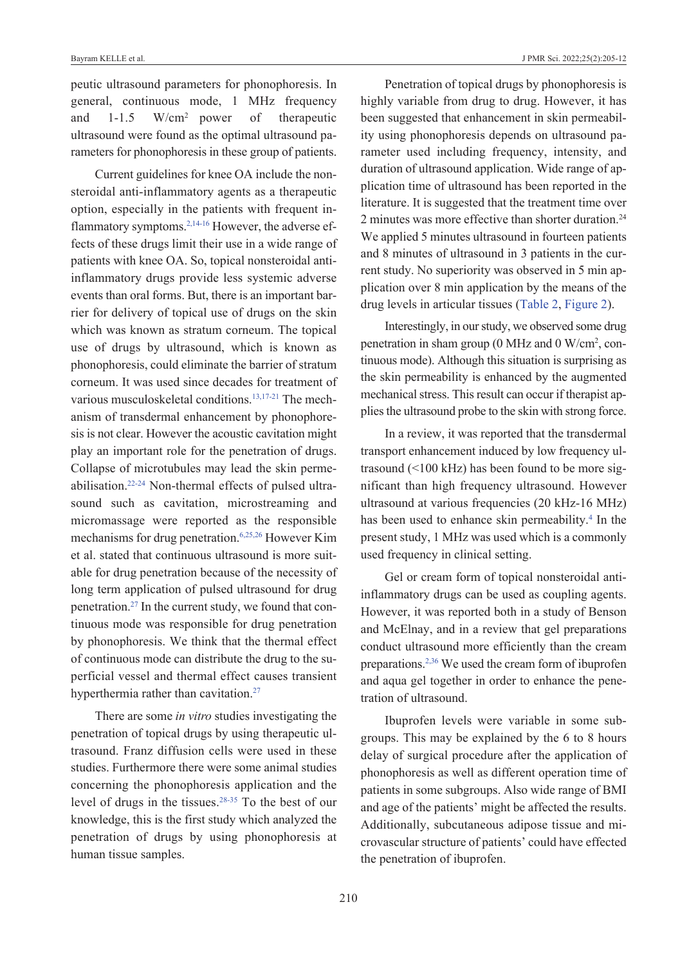peutic ultrasound parameters for phonophoresis. In general, continuous mode, 1 MHz frequency and 1-1.5 W/cm2 power of therapeutic ultrasound were found as the optimal ultrasound parameters for phonophoresis in these group of patients.

Current guidelines for knee OA include the nonsteroidal anti-inflammatory agents as a therapeutic option, especially in the patients with frequent inflammatory symptoms[.2,14-16](#page-7-0) However, the adverse effects of these drugs limit their use in a wide range of patients with knee OA. So, topical nonsteroidal antiinflammatory drugs provide less systemic adverse events than oral forms. But, there is an important barrier for delivery of topical use of drugs on the skin which was known as stratum corneum. The topical use of drugs by ultrasound, which is known as phonophoresis, could eliminate the barrier of stratum corneum. It was used since decades for treatment of various musculoskeletal conditions.<sup>13,17-21</sup> The mechanism of transdermal enhancement by phonophoresis is not clear. However the acoustic cavitation might play an important role for the penetration of drugs. Collapse of microtubules may lead the skin permeabilisation[.22-24](#page-7-0) Non-thermal effects of pulsed ultrasound such as cavitation, microstreaming and micromassage were reported as the responsible mechanisms for drug penetration[.6,25,26](#page-7-0) However Kim et al. stated that continuous ultrasound is more suitable for drug penetration because of the necessity of long term application of pulsed ultrasound for drug penetration[.27](#page-7-0) In the current study, we found that continuous mode was responsible for drug penetration by phonophoresis. We think that the thermal effect of continuous mode can distribute the drug to the superficial vessel and thermal effect causes transient hyperthermia rather than cavitation.<sup>27</sup>

There are some *in vitro* studies investigating the penetration of topical drugs by using therapeutic ultrasound. Franz diffusion cells were used in these studies. Furthermore there were some animal studies concerning the phonophoresis application and the level of drugs in the tissues[.28-35](#page-7-0) To the best of our knowledge, this is the first study which analyzed the penetration of drugs by using phonophoresis at human tissue samples.

Penetration of topical drugs by phonophoresis is highly variable from drug to drug. However, it has been suggested that enhancement in skin permeability using phonophoresis depends on ultrasound parameter used including frequency, intensity, and duration of ultrasound application. Wide range of application time of ultrasound has been reported in the literature. It is suggested that the treatment time over 2 minutes was more effective than shorter duration.<sup>24</sup> We applied 5 minutes ultrasound in fourteen patients and 8 minutes of ultrasound in 3 patients in the current study. No superiority was observed in 5 min application over 8 min application by the means of the drug levels in articular tissues [\(Table 2,](#page-3-1) [Figure 2\)](#page-4-1).

Interestingly, in our study, we observed some drug penetration in sham group (0 MHz and 0 W/cm<sup>2</sup>, continuous mode). Although this situation is surprising as the skin permeability is enhanced by the augmented mechanical stress. This result can occur if therapist applies the ultrasound probe to the skin with strong force.

In a review, it was reported that the transdermal transport enhancement induced by low frequency ultrasound (<100 kHz) has been found to be more significant than high frequency ultrasound. However ultrasound at various frequencies (20 kHz-16 MHz) has been used to enhance skin permeability.<sup>4</sup> In the present study, 1 MHz was used which is a commonly used frequency in clinical setting.

Gel or cream form of topical nonsteroidal antiinflammatory drugs can be used as coupling agents. However, it was reported both in a study of Benson and McElnay, and in a review that gel preparations conduct ultrasound more efficiently than the cream preparations[.2,36](#page-7-0) We used the cream form of ibuprofen and aqua gel together in order to enhance the penetration of ultrasound.

Ibuprofen levels were variable in some subgroups. This may be explained by the 6 to 8 hours delay of surgical procedure after the application of phonophoresis as well as different operation time of patients in some subgroups. Also wide range of BMI and age of the patients' might be affected the results. Additionally, subcutaneous adipose tissue and microvascular structure of patients' could have effected the penetration of ibuprofen.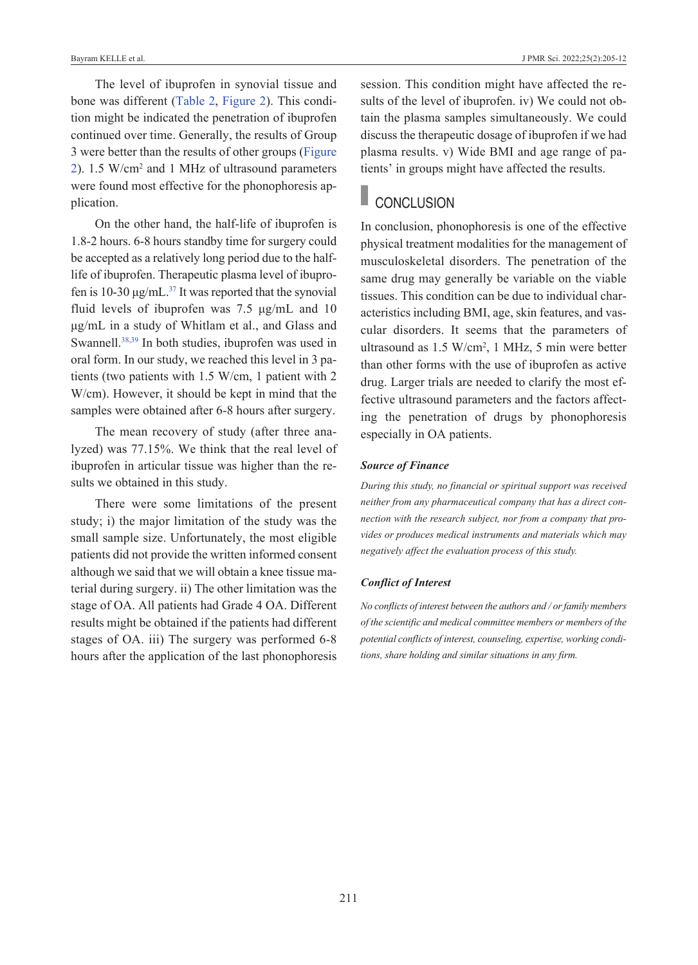The level of ibuprofen in synovial tissue and bone was different [\(Table 2,](#page-3-1) [Figure 2\)](#page-4-1). This condition might be indicated the penetration of ibuprofen continued over time. Generally, the results of Group 3 were better than the results of other groups [\(Figure](#page-4-1)  [2\)](#page-4-1). 1.5 W/cm2 and 1 MHz of ultrasound parameters were found most effective for the phonophoresis application.

On the other hand, the half-life of ibuprofen is 1.8-2 hours. 6-8 hours standby time for surgery could be accepted as a relatively long period due to the halflife of ibuprofen. Therapeutic plasma level of ibuprofen is 10-30 μg/mL. $^{37}$  It was reported that the synovial fluid levels of ibuprofen was 7.5 μg/mL and 10 μg/mL in a study of Whitlam et al., and Glass and Swannell.<sup>38,39</sup> In both studies, ibuprofen was used in oral form. In our study, we reached this level in 3 patients (two patients with 1.5 W/cm, 1 patient with 2 W/cm). However, it should be kept in mind that the samples were obtained after 6-8 hours after surgery.

The mean recovery of study (after three analyzed) was 77.15%. We think that the real level of ibuprofen in articular tissue was higher than the results we obtained in this study.

There were some limitations of the present study; i) the major limitation of the study was the small sample size. Unfortunately, the most eligible patients did not provide the written informed consent although we said that we will obtain a knee tissue material during surgery. ii) The other limitation was the stage of OA. All patients had Grade 4 OA. Different results might be obtained if the patients had different stages of OA. iii) The surgery was performed 6-8 hours after the application of the last phonophoresis session. This condition might have affected the results of the level of ibuprofen. iv) We could not obtain the plasma samples simultaneously. We could discuss the therapeutic dosage of ibuprofen if we had plasma results. v) Wide BMI and age range of patients' in groups might have affected the results.

# CONCLUSION

In conclusion, phonophoresis is one of the effective physical treatment modalities for the management of musculoskeletal disorders. The penetration of the same drug may generally be variable on the viable tissues. This condition can be due to individual characteristics including BMI, age, skin features, and vascular disorders. It seems that the parameters of ultrasound as 1.5 W/cm2 , 1 MHz, 5 min were better than other forms with the use of ibuprofen as active drug. Larger trials are needed to clarify the most effective ultrasound parameters and the factors affecting the penetration of drugs by phonophoresis especially in OA patients.

### *Source of Finance*

*During this study, no financial or spiritual support was received neither from any pharmaceutical company that has a direct connection with the research subject, nor from a company that provides or produces medical instruments and materials which may negatively affect the evaluation process of this study.* 

### *Conflict of Interest*

*No conflicts of interest between the authors and / or family members of the scientific and medical committee members or members of the potential conflicts of interest, counseling, expertise, working conditions, share holding and similar situations in any firm.*